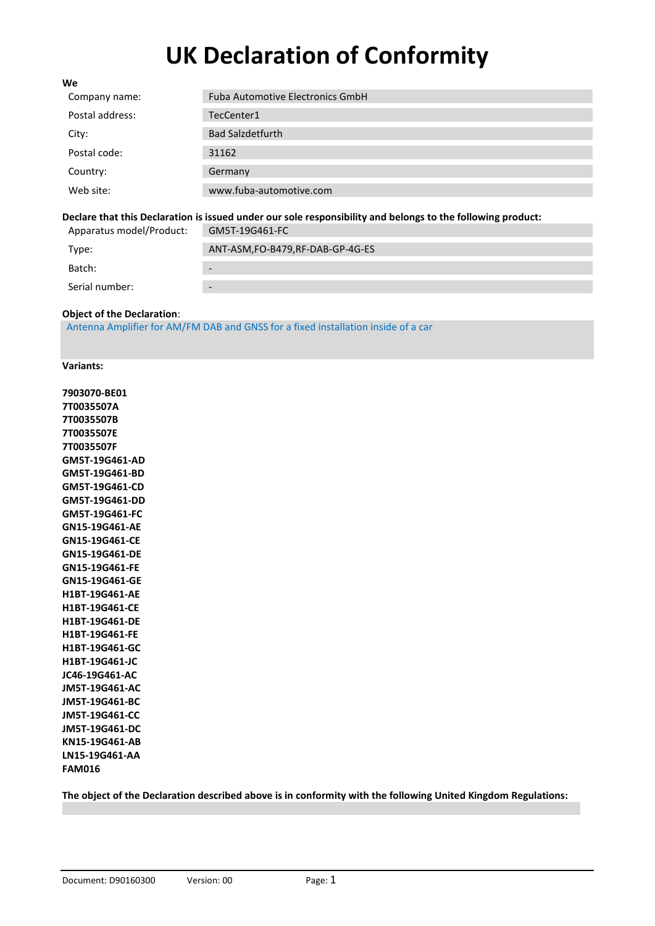# **UK Declaration of Conformity**

| We              |                                         |
|-----------------|-----------------------------------------|
| Company name:   | <b>Fuba Automotive Electronics GmbH</b> |
| Postal address: | TecCenter1                              |
| City:           | <b>Bad Salzdetfurth</b>                 |
| Postal code:    | 31162                                   |
| Country:        | Germany                                 |
| Web site:       | www.fuba-automotive.com                 |
|                 |                                         |

#### **Declare that this Declaration is issued under our sole responsibility and belongs to the following product:** Apparatus model/Product:

| Apparatus model/Product: | UNDI-190401-FC                  |
|--------------------------|---------------------------------|
| Type:                    | ANT-ASM,FO-B479,RF-DAB-GP-4G-ES |
| Batch:                   | $\overline{\phantom{a}}$        |
| Serial number:           | $\overline{\phantom{a}}$        |

## **Object of the Declaration**:

Antenna Amplifier for AM/FM DAB and GNSS for a fixed installation inside of a car

#### **Variants:**

**7903070-BE01 7T0035507A 7T0035507B 7T0035507E 7T0035507F GM5T-19G461-AD GM5T-19G461-BD GM5T-19G461-CD GM5T-19G461-DD GM5T-19G461-FC GN15-19G461-AE GN15-19G461-CE GN15-19G461-DE GN15-19G461-FE GN15-19G461-GE H1BT-19G461-AE H1BT-19G461-CE H1BT-19G461-DE H1BT-19G461-FE H1BT-19G461-GC H1BT-19G461-JC JC46-19G461-AC JM5T-19G461-AC JM5T-19G461-BC JM5T-19G461-CC JM5T-19G461-DC KN15-19G461-AB LN15-19G461-AA FAM016**

**The object of the Declaration described above is in conformity with the following United Kingdom Regulations:**